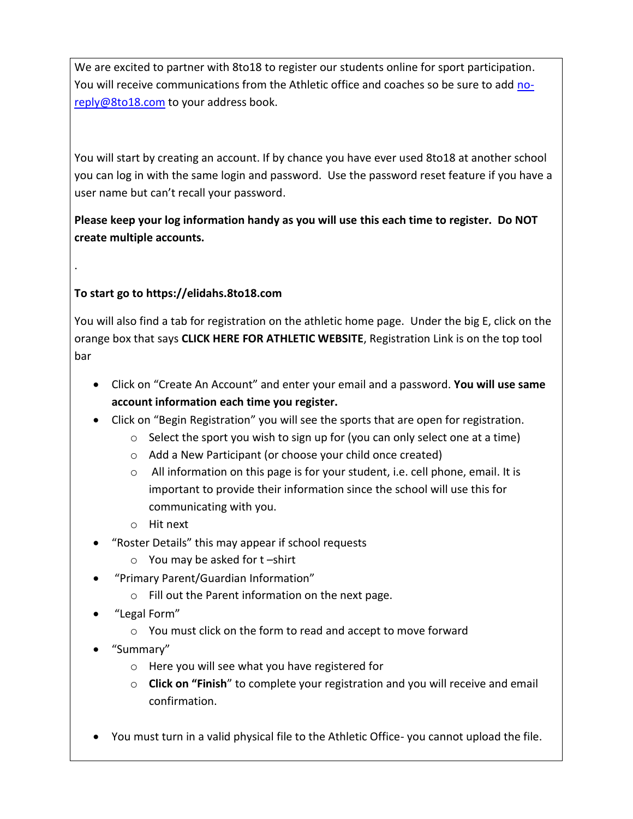We are excited to partner with 8to18 to register our students online for sport participation. You will receive communications from the Athletic office and coaches so be sure to add [no](mailto:no-reply@8to18.com)[reply@8to18.com](mailto:no-reply@8to18.com) to your address book.

You will start by creating an account. If by chance you have ever used 8to18 at another school you can log in with the same login and password. Use the password reset feature if you have a user name but can't recall your password.

**Please keep your log information handy as you will use this each time to register. Do NOT create multiple accounts.** 

## **To start go to https://elidahs.8to18.com**

.

You will also find a tab for registration on the athletic home page. Under the big E, click on the orange box that says **CLICK HERE FOR ATHLETIC WEBSITE**, Registration Link is on the top tool bar

- Click on "Create An Account" and enter your email and a password. **You will use same account information each time you register.**
- Click on "Begin Registration" you will see the sports that are open for registration.
	- o Select the sport you wish to sign up for (you can only select one at a time)
	- o Add a New Participant (or choose your child once created)
	- $\circ$  All information on this page is for your student, i.e. cell phone, email. It is important to provide their information since the school will use this for communicating with you.
	- o Hit next
- "Roster Details" this may appear if school requests
	- $\circ$  You may be asked for t-shirt
- "Primary Parent/Guardian Information"
	- o Fill out the Parent information on the next page.
- "Legal Form"
	- o You must click on the form to read and accept to move forward
- "Summary"
	- o Here you will see what you have registered for
	- o **Click on "Finish**" to complete your registration and you will receive and email confirmation.
- You must turn in a valid physical file to the Athletic Office- you cannot upload the file.